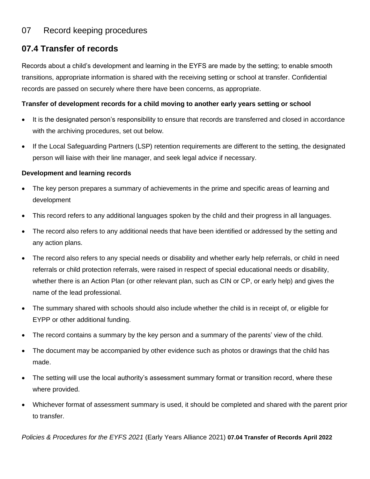# 07 Record keeping procedures

## **07.4 Transfer of records**

Records about a child's development and learning in the EYFS are made by the setting; to enable smooth transitions, appropriate information is shared with the receiving setting or school at transfer. Confidential records are passed on securely where there have been concerns, as appropriate.

#### **Transfer of development records for a child moving to another early years setting or school**

- It is the designated person's responsibility to ensure that records are transferred and closed in accordance with the archiving procedures, set out below.
- If the Local Safeguarding Partners (LSP) retention requirements are different to the setting, the designated person will liaise with their line manager, and seek legal advice if necessary.

#### **Development and learning records**

- The key person prepares a summary of achievements in the prime and specific areas of learning and development
- This record refers to any additional languages spoken by the child and their progress in all languages.
- The record also refers to any additional needs that have been identified or addressed by the setting and any action plans.
- The record also refers to any special needs or disability and whether early help referrals, or child in need referrals or child protection referrals, were raised in respect of special educational needs or disability, whether there is an Action Plan (or other relevant plan, such as CIN or CP, or early help) and gives the name of the lead professional.
- The summary shared with schools should also include whether the child is in receipt of, or eligible for EYPP or other additional funding.
- The record contains a summary by the key person and a summary of the parents' view of the child.
- The document may be accompanied by other evidence such as photos or drawings that the child has made.
- The setting will use the local authority's assessment summary format or transition record, where these where provided.
- Whichever format of assessment summary is used, it should be completed and shared with the parent prior to transfer.

*Policies & Procedures for the EYFS 2021* (Early Years Alliance 2021) **07.04 Transfer of Records April 2022**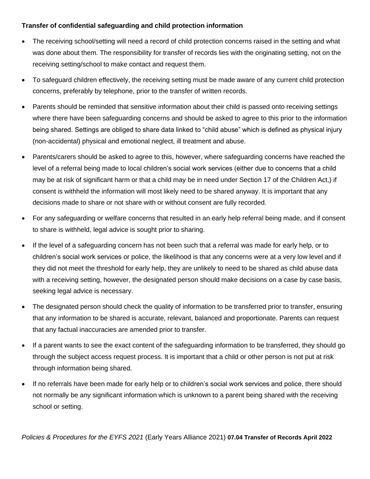### **Transfer of confidential safeguarding and child protection information**

- The receiving school/setting will need a record of child protection concerns raised in the setting and what was done about them. The responsibility for transfer of records lies with the originating setting, not on the receiving setting/school to make contact and request them.
- To safeguard children effectively, the receiving setting must be made aware of any current child protection concerns, preferably by telephone, prior to the transfer of written records.
- Parents should be reminded that sensitive information about their child is passed onto receiving settings where there have been safeguarding concerns and should be asked to agree to this prior to the information being shared. Settings are obliged to share data linked to "child abuse" which is defined as physical injury (non-accidental) physical and emotional neglect, ill treatment and abuse.
- Parents/carers should be asked to agree to this, however, where safeguarding concerns have reached the level of a referral being made to local children's social work services (either due to concerns that a child may be at risk of significant harm or that a child may be in need under Section 17 of the Children Act,) if consent is withheld the information will most likely need to be shared anyway. It is important that any decisions made to share or not share with or without consent are fully recorded.
- For any safeguarding or welfare concerns that resulted in an early help referral being made, and if consent to share is withheld, legal advice is sought prior to sharing.
- If the level of a safeguarding concern has not been such that a referral was made for early help, or to children's social work services or police, the likelihood is that any concerns were at a very low level and if they did not meet the threshold for early help, they are unlikely to need to be shared as child abuse data with a receiving setting, however, the designated person should make decisions on a case by case basis, seeking legal advice is necessary.
- The designated person should check the quality of information to be transferred prior to transfer, ensuring that any information to be shared is accurate, relevant, balanced and proportionate. Parents can request that any factual inaccuracies are amended prior to transfer.
- If a parent wants to see the exact content of the safeguarding information to be transferred, they should go through the subject access request process. It is important that a child or other person is not put at risk through information being shared.
- If no referrals have been made for early help or to children's social work services and police, there should not normally be any significant information which is unknown to a parent being shared with the receiving school or setting.

*Policies & Procedures for the EYFS 2021* (Early Years Alliance 2021) **07.04 Transfer of Records April 2022**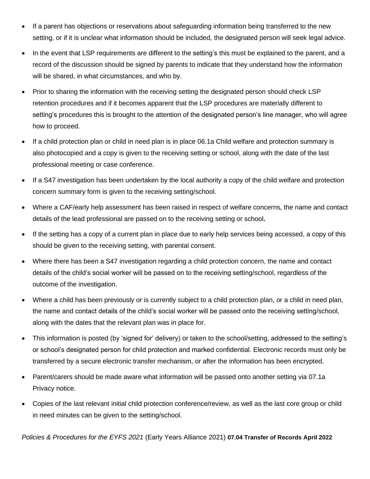- If a parent has objections or reservations about safeguarding information being transferred to the new setting, or if it is unclear what information should be included, the designated person will seek legal advice.
- In the event that LSP requirements are different to the setting's this must be explained to the parent, and a record of the discussion should be signed by parents to indicate that they understand how the information will be shared, in what circumstances, and who by.
- Prior to sharing the information with the receiving setting the designated person should check LSP retention procedures and if it becomes apparent that the LSP procedures are materially different to setting's procedures this is brought to the attention of the designated person's line manager, who will agree how to proceed.
- If a child protection plan or child in need plan is in place 06.1a Child welfare and protection summary is also photocopied and a copy is given to the receiving setting or school, along with the date of the last professional meeting or case conference.
- If a S47 investigation has been undertaken by the local authority a copy of the child welfare and protection concern summary form is given to the receiving setting/school.
- Where a CAF/early help assessment has been raised in respect of welfare concerns, the name and contact details of the lead professional are passed on to the receiving setting or school**.**
- If the setting has a copy of a current plan in place due to early help services being accessed, a copy of this should be given to the receiving setting, with parental consent.
- Where there has been a S47 investigation regarding a child protection concern, the name and contact details of the child's social worker will be passed on to the receiving setting/school, regardless of the outcome of the investigation.
- Where a child has been previously or is currently subject to a child protection plan, or a child in need plan, the name and contact details of the child's social worker will be passed onto the receiving setting/school, along with the dates that the relevant plan was in place for.
- This information is posted (by 'signed for' delivery) or taken to the school/setting, addressed to the setting's or school's designated person for child protection and marked confidential. Electronic records must only be transferred by a secure electronic transfer mechanism, or after the information has been encrypted.
- Parent/carers should be made aware what information will be passed onto another setting via 07.1a Privacy notice.
- Copies of the last relevant initial child protection conference/review, as well as the last core group or child in need minutes can be given to the setting/school.

*Policies & Procedures for the EYFS 2021* (Early Years Alliance 2021) **07.04 Transfer of Records April 2022**